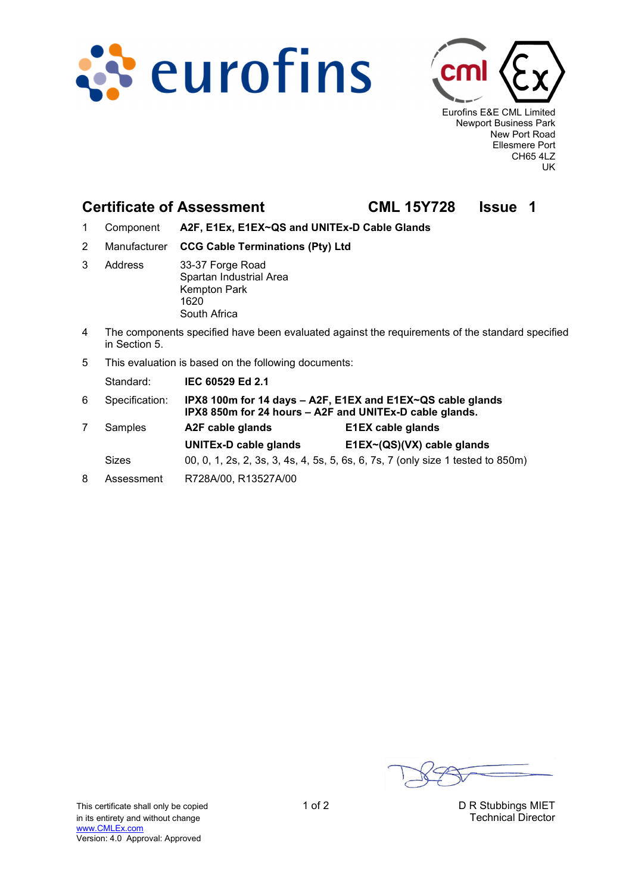



Eurofins E&E CML Limited Newport Business Park New Port Road Ellesmere Port CH65 4LZ UK

## **Certificate of Assessment CML 15Y728 Issue 1**

- 1 Component **A2F, E1Ex, E1EX~QS and UNITEx-D Cable Glands**
- 2 Manufacturer **CCG Cable Terminations (Pty) Ltd**
- 3 Address 33-37 Forge Road Spartan Industrial Area Kempton Park 1620 South Africa
- 4 The components specified have been evaluated against the requirements of the standard specified in Section 5.
- 5 This evaluation is based on the following documents:

Standard: **IEC 60529 Ed 2.1**

| 6 | Specification: | IPX8 100m for 14 days - A2F, E1EX and E1EX~QS cable glands<br>IPX8 850m for 24 hours - A2F and UNITEx-D cable glands. |                            |  |
|---|----------------|-----------------------------------------------------------------------------------------------------------------------|----------------------------|--|
|   | Samples        | A2F cable glands                                                                                                      | <b>E1EX cable glands</b>   |  |
|   |                | <b>UNITEx-D cable glands</b>                                                                                          | E1EX~(QS)(VX) cable glands |  |
|   | <b>Sizes</b>   | 00, 0, 1, 2s, 2, 3s, 3, 4s, 4, 5s, 5, 6s, 6, 7s, 7 (only size 1 tested to 850m)                                       |                            |  |
| 8 | Assessment     | R728A/00, R13527A/00                                                                                                  |                            |  |